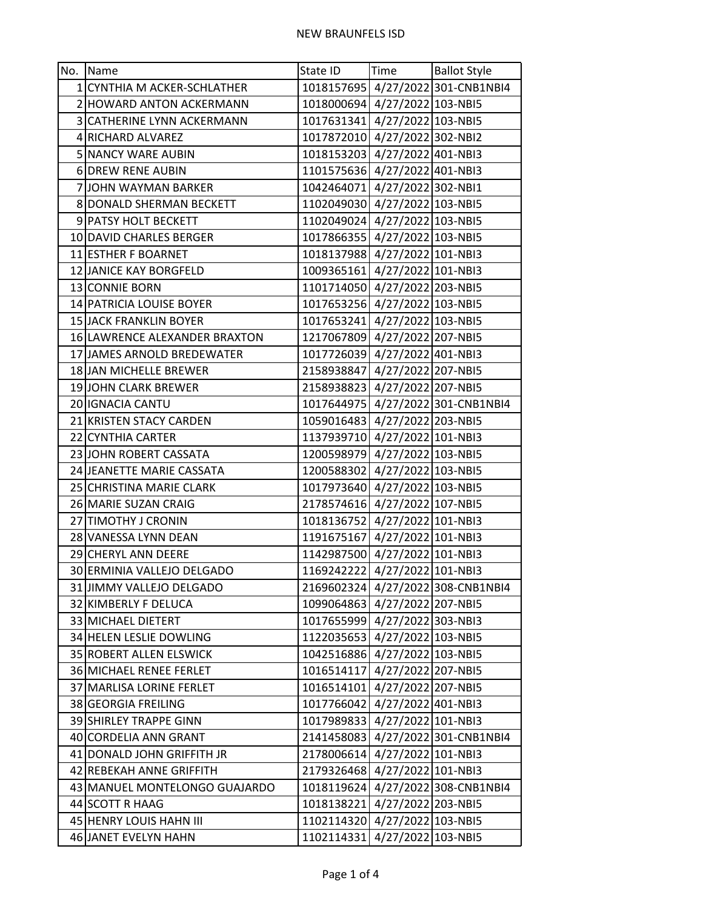| No.   Name                    | State ID                      | <b>Time</b> | <b>Ballot Style</b>                 |
|-------------------------------|-------------------------------|-------------|-------------------------------------|
| 1 CYNTHIA M ACKER-SCHLATHER   |                               |             | 1018157695 4/27/2022 301-CNB1NBI4   |
| 2 HOWARD ANTON ACKERMANN      | 1018000694 4/27/2022 103-NBI5 |             |                                     |
| 3 CATHERINE LYNN ACKERMANN    | 1017631341 4/27/2022 103-NBI5 |             |                                     |
| 4 RICHARD ALVAREZ             | 1017872010 4/27/2022 302-NBI2 |             |                                     |
| 5 NANCY WARE AUBIN            | 1018153203 4/27/2022 401-NBI3 |             |                                     |
| 6 DREW RENE AUBIN             | 1101575636 4/27/2022 401-NBI3 |             |                                     |
| 7JJOHN WAYMAN BARKER          | 1042464071 4/27/2022 302-NBI1 |             |                                     |
| 8 DONALD SHERMAN BECKETT      | 1102049030 4/27/2022 103-NBI5 |             |                                     |
| 9 PATSY HOLT BECKETT          | 1102049024 4/27/2022 103-NBI5 |             |                                     |
| 10 DAVID CHARLES BERGER       | 1017866355 4/27/2022 103-NBI5 |             |                                     |
| 11 ESTHER F BOARNET           | 1018137988 4/27/2022 101-NBI3 |             |                                     |
| 12 JANICE KAY BORGFELD        | 1009365161 4/27/2022 101-NBI3 |             |                                     |
| 13 CONNIE BORN                | 1101714050 4/27/2022 203-NBI5 |             |                                     |
| 14 PATRICIA LOUISE BOYER      | 1017653256 4/27/2022 103-NBI5 |             |                                     |
| 15 JACK FRANKLIN BOYER        | 1017653241 4/27/2022 103-NBI5 |             |                                     |
| 16 LAWRENCE ALEXANDER BRAXTON | 1217067809 4/27/2022 207-NBI5 |             |                                     |
| 17 JAMES ARNOLD BREDEWATER    | 1017726039 4/27/2022 401-NBI3 |             |                                     |
| 18 JAN MICHELLE BREWER        | 2158938847 4/27/2022 207-NBI5 |             |                                     |
| 19 JOHN CLARK BREWER          | 2158938823 4/27/2022 207-NBI5 |             |                                     |
| 20 IGNACIA CANTU              |                               |             | 1017644975   4/27/2022 301-CNB1NBI4 |
| 21 KRISTEN STACY CARDEN       | 1059016483 4/27/2022 203-NBI5 |             |                                     |
| 22 CYNTHIA CARTER             | 1137939710 4/27/2022 101-NBI3 |             |                                     |
| 23 JOHN ROBERT CASSATA        | 1200598979 4/27/2022 103-NBI5 |             |                                     |
| 24 JEANETTE MARIE CASSATA     | 1200588302 4/27/2022 103-NBI5 |             |                                     |
| 25 CHRISTINA MARIE CLARK      | 1017973640 4/27/2022 103-NBI5 |             |                                     |
| 26 MARIE SUZAN CRAIG          | 2178574616 4/27/2022 107-NBI5 |             |                                     |
| 27 TIMOTHY J CRONIN           | 1018136752 4/27/2022 101-NBI3 |             |                                     |
| 28 VANESSA LYNN DEAN          | 1191675167 4/27/2022 101-NBI3 |             |                                     |
| 29 CHERYL ANN DEERE           | 1142987500 4/27/2022 101-NBI3 |             |                                     |
| 30 ERMINIA VALLEJO DELGADO    | 1169242222 4/27/2022 101-NBI3 |             |                                     |
| 31 JIMMY VALLEJO DELGADO      |                               |             | 2169602324 4/27/2022 308-CNB1NBI4   |
| 32 KIMBERLY F DELUCA          | 1099064863 4/27/2022 207-NBI5 |             |                                     |
| 33 MICHAEL DIETERT            | 1017655999 4/27/2022 303-NBI3 |             |                                     |
| 34 HELEN LESLIE DOWLING       | 1122035653 4/27/2022 103-NBI5 |             |                                     |
| 35 ROBERT ALLEN ELSWICK       | 1042516886 4/27/2022 103-NBI5 |             |                                     |
| 36 MICHAEL RENEE FERLET       | 1016514117 4/27/2022 207-NBI5 |             |                                     |
| 37 MARLISA LORINE FERLET      | 1016514101 4/27/2022 207-NBI5 |             |                                     |
| 38 GEORGIA FREILING           | 1017766042 4/27/2022 401-NBI3 |             |                                     |
| 39 SHIRLEY TRAPPE GINN        | 1017989833 4/27/2022 101-NBI3 |             |                                     |
| 40 CORDELIA ANN GRANT         |                               |             | 2141458083 4/27/2022 301-CNB1NBI4   |
| 41 DONALD JOHN GRIFFITH JR    | 2178006614 4/27/2022 101-NBI3 |             |                                     |
| 42 REBEKAH ANNE GRIFFITH      | 2179326468 4/27/2022 101-NBI3 |             |                                     |
| 43 MANUEL MONTELONGO GUAJARDO |                               |             | 1018119624 4/27/2022 308-CNB1NBI4   |
| 44 SCOTT R HAAG               | 1018138221 4/27/2022 203-NBI5 |             |                                     |
| 45 HENRY LOUIS HAHN III       | 1102114320 4/27/2022 103-NBI5 |             |                                     |
| 46 JANET EVELYN HAHN          | 1102114331 4/27/2022 103-NBI5 |             |                                     |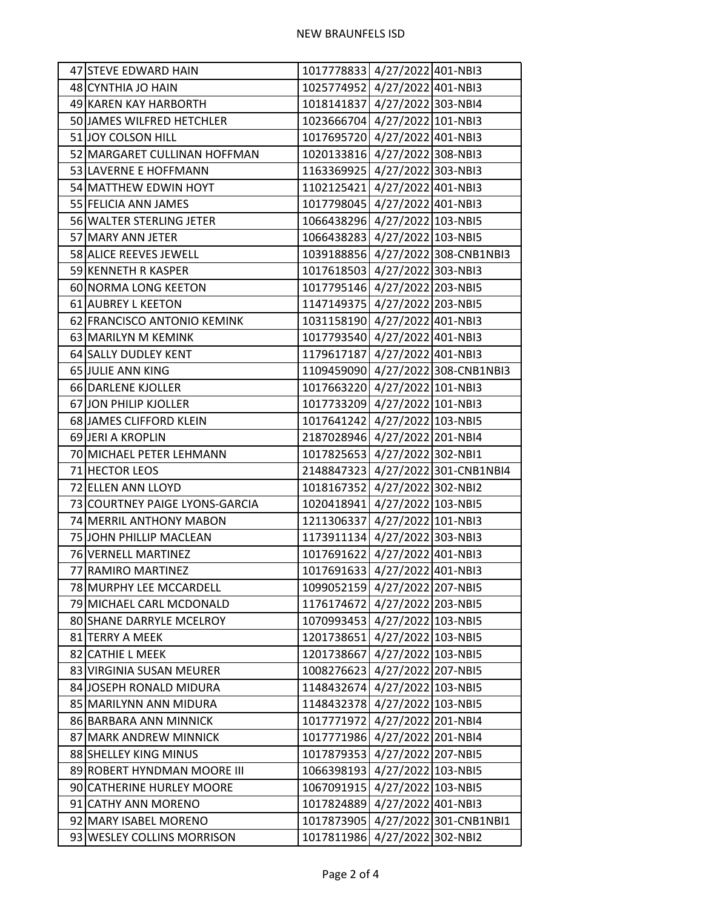| 47 STEVE EDWARD HAIN           | 1017778833 4/27/2022 401-NBI3 |                                   |
|--------------------------------|-------------------------------|-----------------------------------|
| 48 CYNTHIA JO HAIN             | 1025774952 4/27/2022 401-NBI3 |                                   |
| 49 KAREN KAY HARBORTH          | 1018141837 4/27/2022 303-NBI4 |                                   |
| 50 JAMES WILFRED HETCHLER      | 1023666704 4/27/2022 101-NBI3 |                                   |
| 51 JOY COLSON HILL             | 1017695720 4/27/2022 401-NBI3 |                                   |
| 52 MARGARET CULLINAN HOFFMAN   | 1020133816 4/27/2022 308-NBI3 |                                   |
| 53 LAVERNE E HOFFMANN          | 1163369925 4/27/2022 303-NBI3 |                                   |
| 54 MATTHEW EDWIN HOYT          | 1102125421 4/27/2022 401-NBI3 |                                   |
| 55 FELICIA ANN JAMES           | 1017798045 4/27/2022 401-NBI3 |                                   |
| 56 WALTER STERLING JETER       | 1066438296 4/27/2022 103-NBI5 |                                   |
| 57 MARY ANN JETER              | 1066438283 4/27/2022 103-NBI5 |                                   |
| 58 ALICE REEVES JEWELL         |                               | 1039188856 4/27/2022 308-CNB1NBI3 |
| 59 KENNETH R KASPER            | 1017618503 4/27/2022 303-NBI3 |                                   |
| 60 NORMA LONG KEETON           | 1017795146 4/27/2022 203-NBI5 |                                   |
| 61 AUBREY L KEETON             | 1147149375 4/27/2022 203-NBI5 |                                   |
| 62 FRANCISCO ANTONIO KEMINK    | 1031158190 4/27/2022 401-NBI3 |                                   |
| 63 MARILYN M KEMINK            | 1017793540 4/27/2022 401-NBI3 |                                   |
| 64 SALLY DUDLEY KENT           | 1179617187 4/27/2022 401-NBI3 |                                   |
| 65 JULIE ANN KING              |                               | 1109459090 4/27/2022 308-CNB1NBI3 |
| 66 DARLENE KJOLLER             | 1017663220 4/27/2022 101-NBI3 |                                   |
| 67 JON PHILIP KJOLLER          | 1017733209 4/27/2022 101-NBI3 |                                   |
| 68 JAMES CLIFFORD KLEIN        | 1017641242 4/27/2022 103-NBI5 |                                   |
| 69 JERI A KROPLIN              | 2187028946 4/27/2022 201-NBI4 |                                   |
| 70 MICHAEL PETER LEHMANN       | 1017825653 4/27/2022 302-NBI1 |                                   |
| 71 HECTOR LEOS                 |                               | 2148847323 4/27/2022 301-CNB1NBI4 |
| 72 ELLEN ANN LLOYD             | 1018167352 4/27/2022 302-NBI2 |                                   |
| 73 COURTNEY PAIGE LYONS-GARCIA | 1020418941 4/27/2022 103-NBI5 |                                   |
| 74 MERRIL ANTHONY MABON        | 1211306337 4/27/2022 101-NBI3 |                                   |
| 75 JOHN PHILLIP MACLEAN        | 1173911134 4/27/2022 303-NBI3 |                                   |
| 76 VERNELL MARTINEZ            | 1017691622 4/27/2022 401-NBI3 |                                   |
| 77 RAMIRO MARTINEZ             | 1017691633 4/27/2022 401-NBI3 |                                   |
| 78 MURPHY LEE MCCARDELL        | 1099052159 4/27/2022 207-NBI5 |                                   |
| 79 MICHAEL CARL MCDONALD       | 1176174672 4/27/2022 203-NBI5 |                                   |
| 80 SHANE DARRYLE MCELROY       | 1070993453 4/27/2022 103-NBI5 |                                   |
| 81 TERRY A MEEK                | 1201738651 4/27/2022 103-NBI5 |                                   |
| 82 CATHIE L MEEK               | 1201738667 4/27/2022 103-NBI5 |                                   |
| 83 VIRGINIA SUSAN MEURER       | 1008276623 4/27/2022 207-NBI5 |                                   |
| 84 JOSEPH RONALD MIDURA        | 1148432674 4/27/2022 103-NBI5 |                                   |
| 85 MARILYNN ANN MIDURA         | 1148432378 4/27/2022 103-NBI5 |                                   |
| 86 BARBARA ANN MINNICK         | 1017771972 4/27/2022 201-NBI4 |                                   |
| 87 MARK ANDREW MINNICK         | 1017771986 4/27/2022 201-NBI4 |                                   |
| 88 SHELLEY KING MINUS          | 1017879353 4/27/2022 207-NBI5 |                                   |
| 89 ROBERT HYNDMAN MOORE III    | 1066398193 4/27/2022 103-NBI5 |                                   |
| 90 CATHERINE HURLEY MOORE      | 1067091915 4/27/2022 103-NBI5 |                                   |
| 91 CATHY ANN MORENO            | 1017824889 4/27/2022 401-NBI3 |                                   |
| 92 MARY ISABEL MORENO          |                               | 1017873905 4/27/2022 301-CNB1NBI1 |
| 93 WESLEY COLLINS MORRISON     | 1017811986 4/27/2022 302-NBI2 |                                   |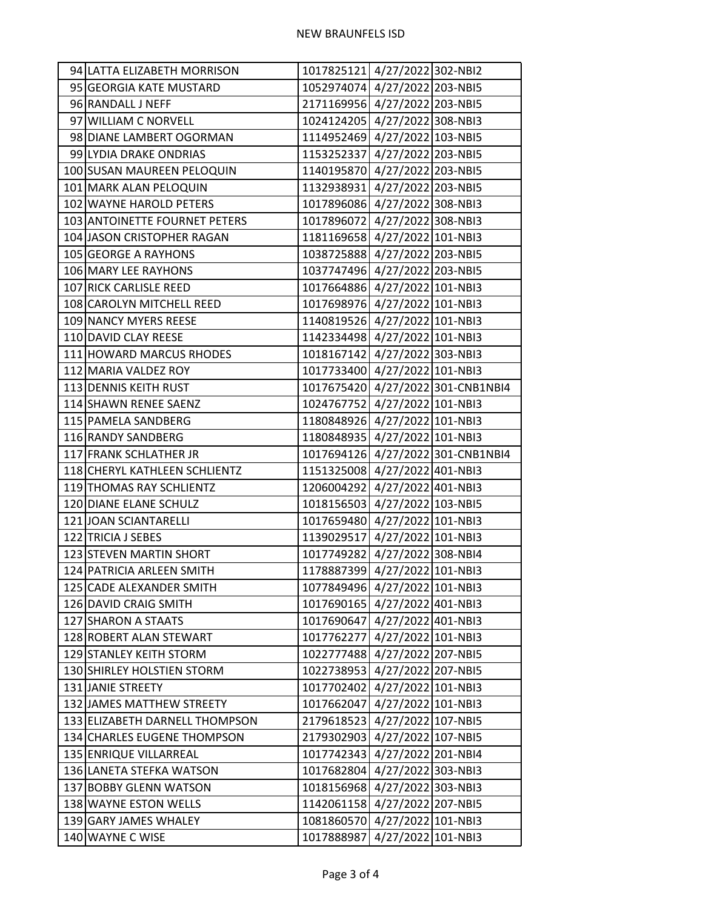| 94 LATTA ELIZABETH MORRISON    | 1017825121 4/27/2022 302-NBI2 |                                   |
|--------------------------------|-------------------------------|-----------------------------------|
| 95 GEORGIA KATE MUSTARD        | 1052974074 4/27/2022 203-NBI5 |                                   |
| 96 RANDALL J NEFF              | 2171169956 4/27/2022 203-NBI5 |                                   |
| 97 WILLIAM C NORVELL           | 1024124205 4/27/2022 308-NBI3 |                                   |
| 98 DIANE LAMBERT OGORMAN       | 1114952469 4/27/2022 103-NBI5 |                                   |
| 99 LYDIA DRAKE ONDRIAS         | 1153252337 4/27/2022 203-NBI5 |                                   |
| 100 SUSAN MAUREEN PELOQUIN     | 1140195870 4/27/2022 203-NBI5 |                                   |
| 101 MARK ALAN PELOQUIN         | 1132938931 4/27/2022 203-NBI5 |                                   |
| 102 WAYNE HAROLD PETERS        | 1017896086 4/27/2022 308-NBI3 |                                   |
| 103 ANTOINETTE FOURNET PETERS  | 1017896072 4/27/2022 308-NBI3 |                                   |
| 104 JASON CRISTOPHER RAGAN     | 1181169658 4/27/2022 101-NBI3 |                                   |
| 105 GEORGE A RAYHONS           | 1038725888 4/27/2022 203-NBI5 |                                   |
| 106 MARY LEE RAYHONS           | 1037747496 4/27/2022 203-NBI5 |                                   |
| 107 RICK CARLISLE REED         | 1017664886 4/27/2022 101-NBI3 |                                   |
| 108 CAROLYN MITCHELL REED      | 1017698976 4/27/2022 101-NBI3 |                                   |
| 109 NANCY MYERS REESE          | 1140819526 4/27/2022 101-NBI3 |                                   |
| 110 DAVID CLAY REESE           | 1142334498 4/27/2022 101-NBI3 |                                   |
| 111 HOWARD MARCUS RHODES       | 1018167142 4/27/2022 303-NBI3 |                                   |
| 112 MARIA VALDEZ ROY           | 1017733400 4/27/2022 101-NBI3 |                                   |
| 113 DENNIS KEITH RUST          |                               | 1017675420 4/27/2022 301-CNB1NBI4 |
| 114 SHAWN RENEE SAENZ          | 1024767752 4/27/2022 101-NBI3 |                                   |
| 115 PAMELA SANDBERG            | 1180848926 4/27/2022 101-NBI3 |                                   |
| 116 RANDY SANDBERG             | 1180848935 4/27/2022 101-NBI3 |                                   |
| 117 FRANK SCHLATHER JR         |                               | 1017694126 4/27/2022 301-CNB1NBI4 |
| 118 CHERYL KATHLEEN SCHLIENTZ  | 1151325008 4/27/2022 401-NBI3 |                                   |
| 119 THOMAS RAY SCHLIENTZ       | 1206004292 4/27/2022 401-NBI3 |                                   |
| 120 DIANE ELANE SCHULZ         | 1018156503 4/27/2022 103-NBI5 |                                   |
| 121 JOAN SCIANTARELLI          | 1017659480 4/27/2022 101-NBI3 |                                   |
| 122 TRICIA J SEBES             | 1139029517 4/27/2022 101-NBI3 |                                   |
| 123 STEVEN MARTIN SHORT        | 1017749282 4/27/2022 308-NBI4 |                                   |
| 124 PATRICIA ARLEEN SMITH      | 1178887399 4/27/2022 101-NBI3 |                                   |
| 125 CADE ALEXANDER SMITH       | 1077849496 4/27/2022 101-NBI3 |                                   |
| 126 DAVID CRAIG SMITH          | 1017690165 4/27/2022 401-NBI3 |                                   |
| 127 SHARON A STAATS            | 1017690647 4/27/2022 401-NBI3 |                                   |
| 128 ROBERT ALAN STEWART        | 1017762277 4/27/2022 101-NBI3 |                                   |
| 129 STANLEY KEITH STORM        | 1022777488 4/27/2022 207-NBI5 |                                   |
| 130 SHIRLEY HOLSTIEN STORM     | 1022738953 4/27/2022 207-NBI5 |                                   |
| 131 JANIE STREETY              | 1017702402 4/27/2022 101-NBI3 |                                   |
| 132 JAMES MATTHEW STREETY      | 1017662047 4/27/2022 101-NBI3 |                                   |
| 133 ELIZABETH DARNELL THOMPSON | 2179618523 4/27/2022 107-NBI5 |                                   |
| 134 CHARLES EUGENE THOMPSON    | 2179302903 4/27/2022 107-NBI5 |                                   |
| 135 ENRIQUE VILLARREAL         | 1017742343 4/27/2022 201-NBI4 |                                   |
| 136 LANETA STEFKA WATSON       | 1017682804 4/27/2022 303-NBI3 |                                   |
| 137 BOBBY GLENN WATSON         | 1018156968 4/27/2022 303-NBI3 |                                   |
| 138 WAYNE ESTON WELLS          | 1142061158 4/27/2022 207-NBI5 |                                   |
| 139 GARY JAMES WHALEY          | 1081860570 4/27/2022 101-NBI3 |                                   |
| 140 WAYNE C WISE               | 1017888987 4/27/2022 101-NBI3 |                                   |